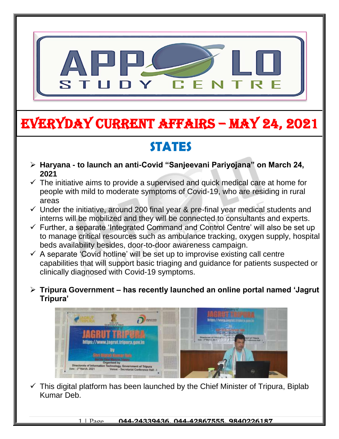

# EVERYDAY CURRENT AFFAIRS – MAY 24, 2021

## **STATES**

-

- **Haryana - to launch an anti-Covid "Sanjeevani Pariyojana" on March 24, 2021**
- $\checkmark$  The initiative aims to provide a supervised and quick medical care at home for people with mild to moderate symptoms of Covid-19, who are residing in rural areas
- $\checkmark$  Under the initiative, around 200 final year & pre-final year medical students and interns will be mobilized and they will be connected to consultants and experts.
- $\checkmark$  Further, a separate 'Integrated Command and Control Centre' will also be set up to manage critical resources such as ambulance tracking, oxygen supply, hospital beds availability besides, door-to-door awareness campaign.
- $\checkmark$  A separate 'Covid hotline' will be set up to improvise existing call centre capabilities that will support basic triaging and guidance for patients suspected or clinically diagnosed with Covid-19 symptoms.
- **Tripura Government – has recently launched an online portal named 'Jagrut Tripura'**



 $\checkmark$  This digital platform has been launched by the Chief Minister of Tripura, Biplab Kumar Deb.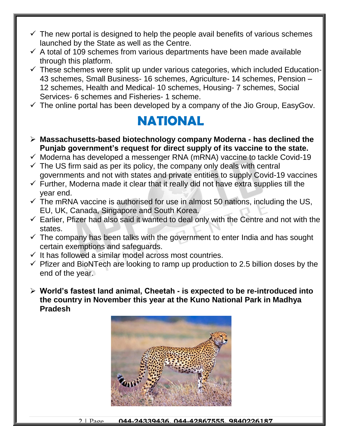- $\checkmark$  The new portal is designed to help the people avail benefits of various schemes launched by the State as well as the Centre.
- $\checkmark$  A total of 109 schemes from various departments have been made available through this platform.
- $\checkmark$  These schemes were split up under various categories, which included Education-43 schemes, Small Business- 16 schemes, Agriculture- 14 schemes, Pension – 12 schemes, Health and Medical- 10 schemes, Housing- 7 schemes, Social Services- 6 schemes and Fisheries- 1 scheme.
- $\checkmark$  The online portal has been developed by a company of the Jio Group, EasyGov.

### **NATIONAL**

- **Massachusetts-based biotechnology company Moderna - has declined the Punjab government's request for direct supply of its vaccine to the state.**
- $\checkmark$  Moderna has developed a messenger RNA (mRNA) vaccine to tackle Covid-19
- $\checkmark$  The US firm said as per its policy, the company only deals with central governments and not with states and private entities to supply Covid-19 vaccines
- $\checkmark$  Further, Moderna made it clear that it really did not have extra supplies till the year end.
- $\checkmark$  The mRNA vaccine is authorised for use in almost 50 nations, including the US, EU, UK, Canada, Singapore and South Korea.
- $\checkmark$  Earlier, Pfizer had also said it wanted to deal only with the Centre and not with the states.
- $\checkmark$  The company has been talks with the government to enter India and has sought certain exemptions and safeguards.
- $\checkmark$  It has followed a similar model across most countries.
- $\checkmark$  Pfizer and BioNTech are looking to ramp up production to 2.5 billion doses by the end of the year.
- **World's fastest land animal, Cheetah - is expected to be re-introduced into the country in November this year at the Kuno National Park in Madhya Pradesh**



2 | Page **044-24339436, 044-42867555, 9840226187**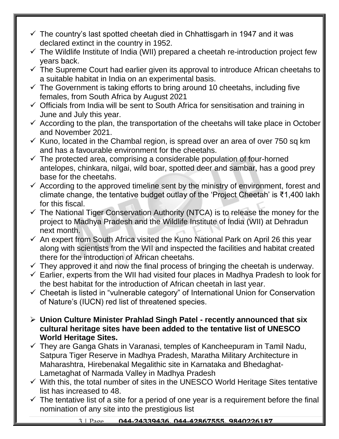- $\checkmark$  The country's last spotted cheetah died in Chhattisgarh in 1947 and it was declared extinct in the country in 1952.
- $\checkmark$  The Wildlife Institute of India (WII) prepared a cheetah re-introduction project few years back.
- $\checkmark$  The Supreme Court had earlier given its approval to introduce African cheetahs to a suitable habitat in India on an experimental basis.
- $\checkmark$  The Government is taking efforts to bring around 10 cheetahs, including five females, from South Africa by August 2021
- $\checkmark$  Officials from India will be sent to South Africa for sensitisation and training in June and July this year.
- $\checkmark$  According to the plan, the transportation of the cheetahs will take place in October and November 2021.
- $\checkmark$  Kuno, located in the Chambal region, is spread over an area of over 750 sq km and has a favourable environment for the cheetahs.
- $\checkmark$  The protected area, comprising a considerable population of four-horned antelopes, chinkara, nilgai, wild boar, spotted deer and sambar, has a good prey base for the cheetahs.
- $\checkmark$  According to the approved timeline sent by the ministry of environment, forest and climate change, the tentative budget outlay of the 'Project Cheetah' is ₹1,400 lakh for this fiscal.
- $\checkmark$  The National Tiger Conservation Authority (NTCA) is to release the money for the project to Madhya Pradesh and the Wildlife Institute of India (WII) at Dehradun next month.
- $\checkmark$  An expert from South Africa visited the Kuno National Park on April 26 this year along with scientists from the WII and inspected the facilities and habitat created there for the introduction of African cheetahs.
- $\checkmark$  They approved it and now the final process of bringing the cheetah is underway.
- $\checkmark$  Earlier, experts from the WII had visited four places in Madhya Pradesh to look for the best habitat for the introduction of African cheetah in last year.
- $\checkmark$  Cheetah is listed in "vulnerable category" of International Union for Conservation of Nature's (IUCN) red list of threatened species.
- **Union Culture Minister Prahlad Singh Patel - recently announced that six cultural heritage sites have been added to the tentative list of UNESCO World Heritage Sites.**
- $\checkmark$  They are Ganga Ghats in Varanasi, temples of Kancheepuram in Tamil Nadu, Satpura Tiger Reserve in Madhya Pradesh, Maratha Military Architecture in Maharashtra, Hirebenakal Megalithic site in Karnataka and Bhedaghat-Lametaghat of Narmada Valley in Madhya Pradesh
- $\checkmark$  With this, the total number of sites in the UNESCO World Heritage Sites tentative list has increased to 48.
- $\checkmark$  The tentative list of a site for a period of one year is a requirement before the final nomination of any site into the prestigious list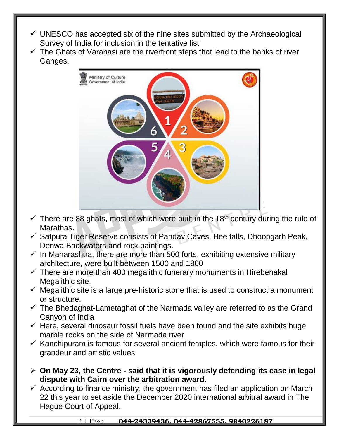- $\checkmark$  UNESCO has accepted six of the nine sites submitted by the Archaeological Survey of India for inclusion in the tentative list
- $\checkmark$  The Ghats of Varanasi are the riverfront steps that lead to the banks of river Ganges.



- $\checkmark$  There are 88 ghats, most of which were built in the 18<sup>th</sup> century during the rule of Marathas.
- $\checkmark$  Satpura Tiger Reserve consists of Pandav Caves, Bee falls, Dhoopgarh Peak, Denwa Backwaters and rock paintings.
- $\checkmark$  In Maharashtra, there are more than 500 forts, exhibiting extensive military architecture, were built between 1500 and 1800
- $\checkmark$  There are more than 400 megalithic funerary monuments in Hirebenakal Megalithic site.
- $\checkmark$  Megalithic site is a large pre-historic stone that is used to construct a monument or structure.
- $\checkmark$  The Bhedaghat-Lametaghat of the Narmada valley are referred to as the Grand Canyon of India
- $\checkmark$  Here, several dinosaur fossil fuels have been found and the site exhibits huge marble rocks on the side of Narmada river
- $\checkmark$  Kanchipuram is famous for several ancient temples, which were famous for their grandeur and artistic values
- **On May 23, the Centre - said that it is vigorously defending its case in legal dispute with Cairn over the arbitration award.**
- $\checkmark$  According to finance ministry, the government has filed an application on March 22 this year to set aside the December 2020 international arbitral award in The Hague Court of Appeal.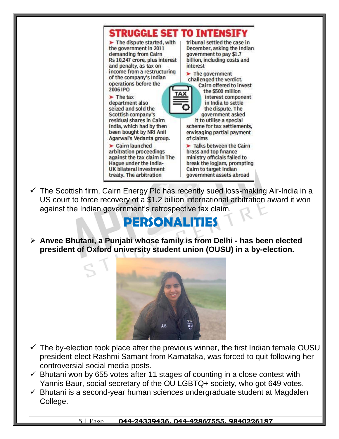

 $\checkmark$  The Scottish firm, Cairn Energy Plc has recently sued loss-making Air-India in a US court to force recovery of a \$1.2 billion international arbitration award it won against the Indian government's retrospective tax claim.

### **PERSONALITIES**

 **Anvee Bhutani, a Punjabi whose family is from Delhi - has been elected president of Oxford university student union (OUSU) in a by-election.**



- $\checkmark$  The by-election took place after the previous winner, the first Indian female OUSU president-elect Rashmi Samant from Karnataka, was forced to quit following her controversial social media posts.
- $\checkmark$  Bhutani won by 655 votes after 11 stages of counting in a close contest with Yannis Baur, social secretary of the OU LGBTQ+ society, who got 649 votes.
- $\checkmark$  Bhutani is a second-year human sciences undergraduate student at Magdalen College.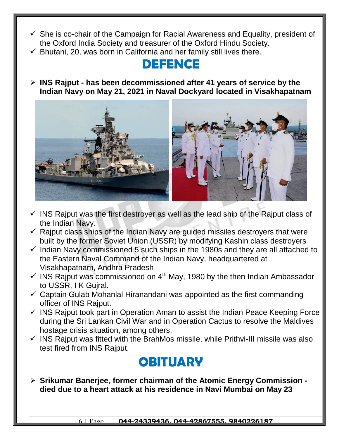- $\checkmark$  She is co-chair of the Campaign for Racial Awareness and Equality, president of the Oxford India Society and treasurer of the Oxford Hindu Society.
- $\checkmark$  Bhutani, 20, was born in California and her family still lives there.

#### **DEFENCE**

 **INS Rajput - has been decommissioned after 41 years of service by the Indian Navy on May 21, 2021 in Naval Dockyard located in Visakhapatnam**



- $\checkmark$  INS Rajput was the first destroyer as well as the lead ship of the Rajput class of the Indian Navy.
- $\checkmark$  Rajput class ships of the Indian Navy are guided missiles destroyers that were built by the former Soviet Union (USSR) by modifying Kashin class destroyers
- $\checkmark$  Indian Navy commissioned 5 such ships in the 1980s and they are all attached to the Eastern Naval Command of the Indian Navy, headquartered at Visakhapatnam, Andhra Pradesh
- $\checkmark$  INS Rajput was commissioned on 4<sup>th</sup> May, 1980 by the then Indian Ambassador to USSR, I K Gujral.
- $\checkmark$  Captain Gulab Mohanlal Hiranandani was appointed as the first commanding officer of INS Rajput.
- $\checkmark$  INS Rajput took part in Operation Aman to assist the Indian Peace Keeping Force during the Sri Lankan Civil War and in Operation Cactus to resolve the Maldives hostage crisis situation, among others.
- $\checkmark$  INS Rajput was fitted with the BrahMos missile, while Prithvi-III missile was also test fired from INS Rajput.

### **OBITUARY**

 **Srikumar Banerjee**, **former chairman of the Atomic Energy Commission died due to a heart attack at his residence in Navi Mumbai on May 23**